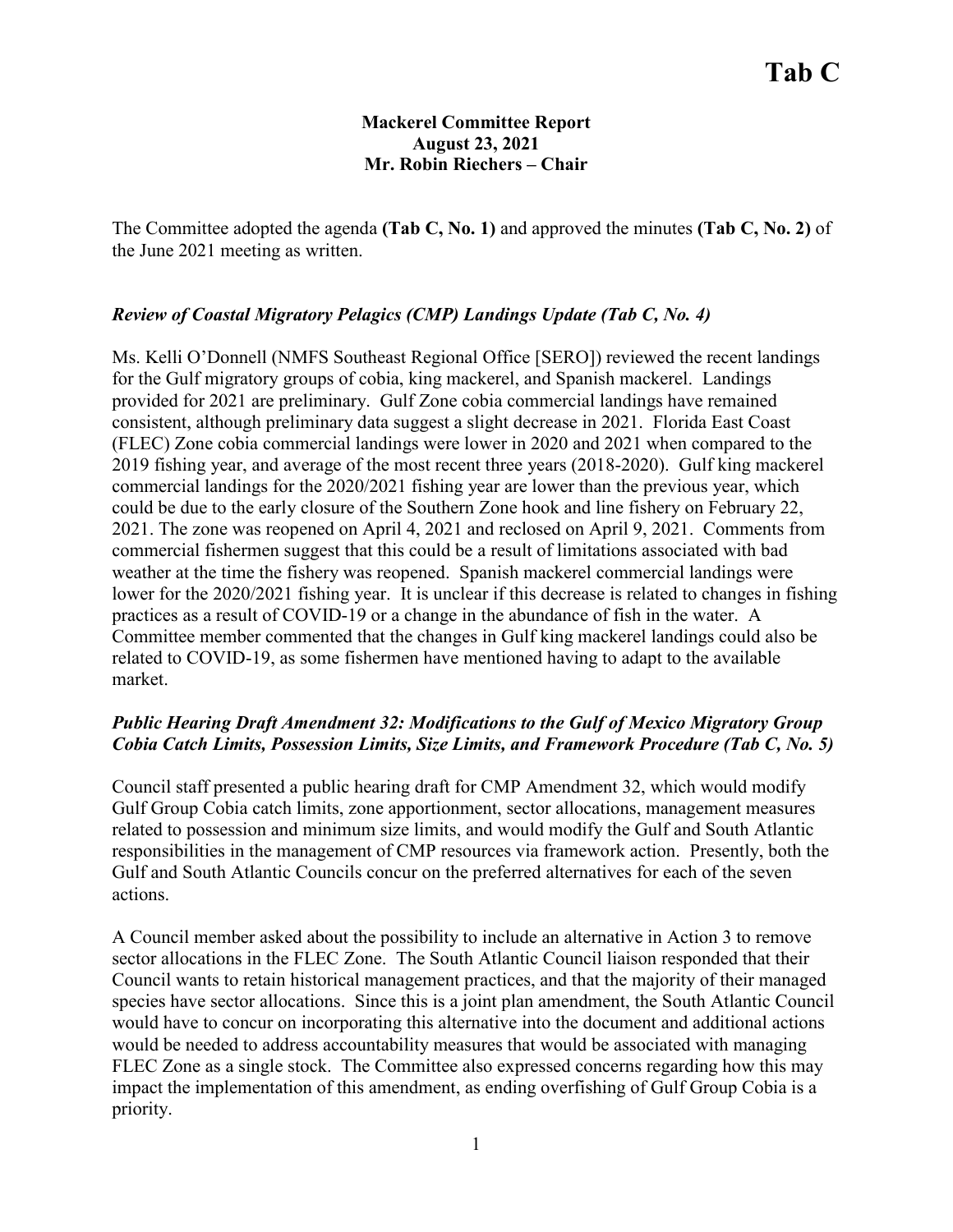### **Mackerel Committee Report August 23, 2021 Mr. Robin Riechers – Chair**

The Committee adopted the agenda **(Tab C, No. 1)** and approved the minutes **(Tab C, No. 2)** of the June 2021 meeting as written.

# *Review of Coastal Migratory Pelagics (CMP) Landings Update (Tab C, No. 4)*

Ms. Kelli O'Donnell (NMFS Southeast Regional Office [SERO]) reviewed the recent landings for the Gulf migratory groups of cobia, king mackerel, and Spanish mackerel. Landings provided for 2021 are preliminary. Gulf Zone cobia commercial landings have remained consistent, although preliminary data suggest a slight decrease in 2021. Florida East Coast (FLEC) Zone cobia commercial landings were lower in 2020 and 2021 when compared to the 2019 fishing year, and average of the most recent three years (2018-2020). Gulf king mackerel commercial landings for the 2020/2021 fishing year are lower than the previous year, which could be due to the early closure of the Southern Zone hook and line fishery on February 22, 2021. The zone was reopened on April 4, 2021 and reclosed on April 9, 2021. Comments from commercial fishermen suggest that this could be a result of limitations associated with bad weather at the time the fishery was reopened. Spanish mackerel commercial landings were lower for the 2020/2021 fishing year. It is unclear if this decrease is related to changes in fishing practices as a result of COVID-19 or a change in the abundance of fish in the water. A Committee member commented that the changes in Gulf king mackerel landings could also be related to COVID-19, as some fishermen have mentioned having to adapt to the available market.

# *Public Hearing Draft Amendment 32: Modifications to the Gulf of Mexico Migratory Group Cobia Catch Limits, Possession Limits, Size Limits, and Framework Procedure (Tab C, No. 5)*

Council staff presented a public hearing draft for CMP Amendment 32, which would modify Gulf Group Cobia catch limits, zone apportionment, sector allocations, management measures related to possession and minimum size limits, and would modify the Gulf and South Atlantic responsibilities in the management of CMP resources via framework action. Presently, both the Gulf and South Atlantic Councils concur on the preferred alternatives for each of the seven actions.

A Council member asked about the possibility to include an alternative in Action 3 to remove sector allocations in the FLEC Zone. The South Atlantic Council liaison responded that their Council wants to retain historical management practices, and that the majority of their managed species have sector allocations. Since this is a joint plan amendment, the South Atlantic Council would have to concur on incorporating this alternative into the document and additional actions would be needed to address accountability measures that would be associated with managing FLEC Zone as a single stock. The Committee also expressed concerns regarding how this may impact the implementation of this amendment, as ending overfishing of Gulf Group Cobia is a priority.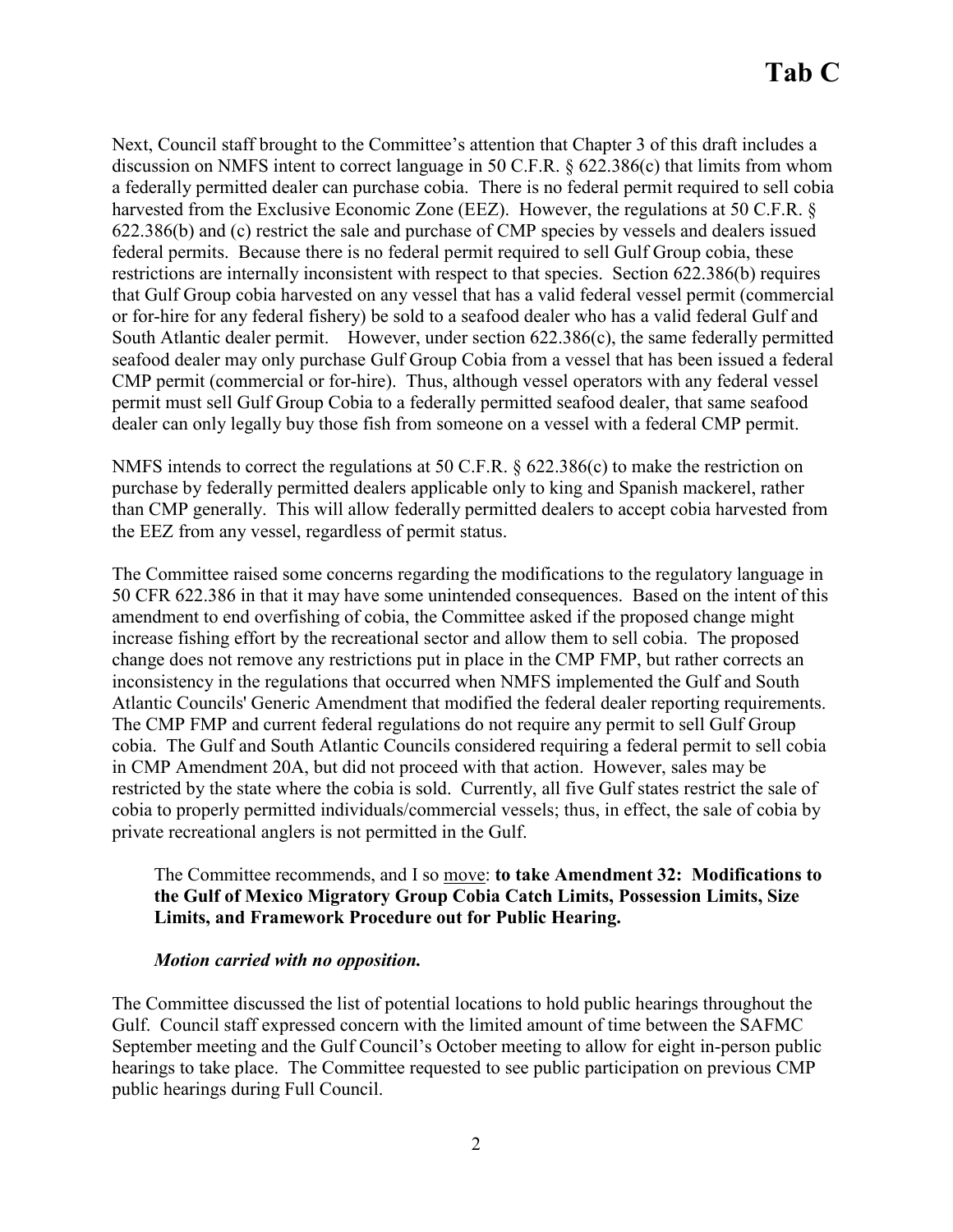Next, Council staff brought to the Committee's attention that Chapter 3 of this draft includes a discussion on NMFS intent to correct language in 50 C.F.R. § 622.386(c) that limits from whom a federally permitted dealer can purchase cobia. There is no federal permit required to sell cobia harvested from the Exclusive Economic Zone (EEZ). However, the regulations at 50 C.F.R. § 622.386(b) and (c) restrict the sale and purchase of CMP species by vessels and dealers issued federal permits. Because there is no federal permit required to sell Gulf Group cobia, these restrictions are internally inconsistent with respect to that species. Section 622.386(b) requires that Gulf Group cobia harvested on any vessel that has a valid federal vessel permit (commercial or for-hire for any federal fishery) be sold to a seafood dealer who has a valid federal Gulf and South Atlantic dealer permit. However, under section 622.386(c), the same federally permitted seafood dealer may only purchase Gulf Group Cobia from a vessel that has been issued a federal CMP permit (commercial or for-hire). Thus, although vessel operators with any federal vessel permit must sell Gulf Group Cobia to a federally permitted seafood dealer, that same seafood dealer can only legally buy those fish from someone on a vessel with a federal CMP permit.

NMFS intends to correct the regulations at 50 C.F.R. § 622.386(c) to make the restriction on purchase by federally permitted dealers applicable only to king and Spanish mackerel, rather than CMP generally. This will allow federally permitted dealers to accept cobia harvested from the EEZ from any vessel, regardless of permit status.

The Committee raised some concerns regarding the modifications to the regulatory language in 50 CFR 622.386 in that it may have some unintended consequences. Based on the intent of this amendment to end overfishing of cobia, the Committee asked if the proposed change might increase fishing effort by the recreational sector and allow them to sell cobia. The proposed change does not remove any restrictions put in place in the CMP FMP, but rather corrects an inconsistency in the regulations that occurred when NMFS implemented the Gulf and South Atlantic Councils' Generic Amendment that modified the federal dealer reporting requirements. The CMP FMP and current federal regulations do not require any permit to sell Gulf Group cobia. The Gulf and South Atlantic Councils considered requiring a federal permit to sell cobia in CMP Amendment 20A, but did not proceed with that action. However, sales may be restricted by the state where the cobia is sold. Currently, all five Gulf states restrict the sale of cobia to properly permitted individuals/commercial vessels; thus, in effect, the sale of cobia by private recreational anglers is not permitted in the Gulf.

#### The Committee recommends, and I so move: **to take Amendment 32: Modifications to the Gulf of Mexico Migratory Group Cobia Catch Limits, Possession Limits, Size Limits, and Framework Procedure out for Public Hearing.**

#### *Motion carried with no opposition.*

The Committee discussed the list of potential locations to hold public hearings throughout the Gulf. Council staff expressed concern with the limited amount of time between the SAFMC September meeting and the Gulf Council's October meeting to allow for eight in-person public hearings to take place. The Committee requested to see public participation on previous CMP public hearings during Full Council.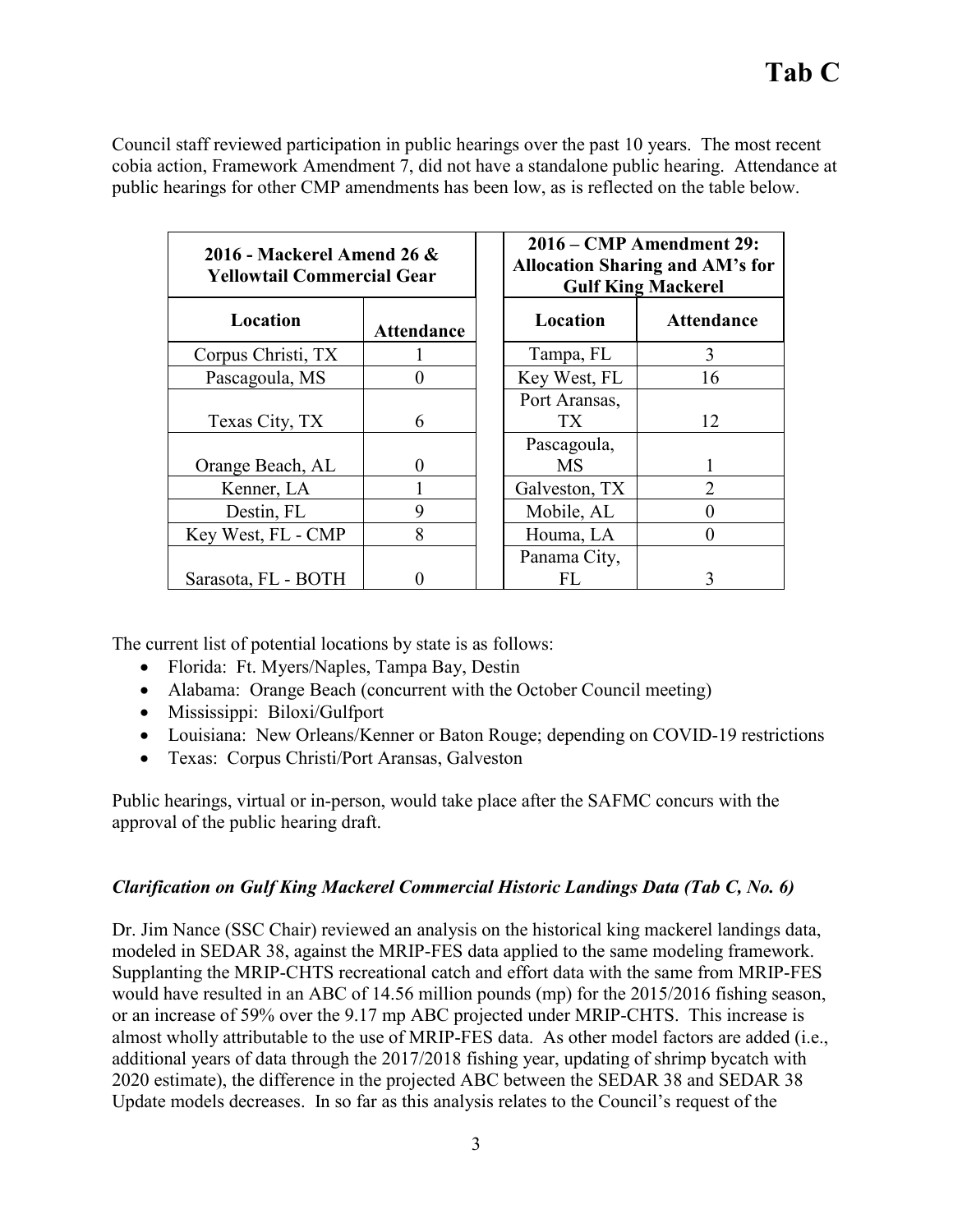Council staff reviewed participation in public hearings over the past 10 years. The most recent cobia action, Framework Amendment 7, did not have a standalone public hearing. Attendance at public hearings for other CMP amendments has been low, as is reflected on the table below.

| 2016 - Mackerel Amend 26 $\&$<br><b>Yellowtail Commercial Gear</b> |                   | 2016 – CMP Amendment 29:<br><b>Allocation Sharing and AM's for</b><br><b>Gulf King Mackerel</b> |                   |
|--------------------------------------------------------------------|-------------------|-------------------------------------------------------------------------------------------------|-------------------|
| Location                                                           | <b>Attendance</b> | Location                                                                                        | <b>Attendance</b> |
| Corpus Christi, TX                                                 |                   | Tampa, FL                                                                                       | 3                 |
| Pascagoula, MS                                                     | 0                 | Key West, FL                                                                                    | 16                |
| Texas City, TX                                                     | 6                 | Port Aransas,<br>TX <sup>-</sup>                                                                | 12                |
| Orange Beach, AL                                                   | 0                 | Pascagoula,<br>MS                                                                               |                   |
| Kenner, LA                                                         |                   | Galveston, TX                                                                                   | 2                 |
| Destin, FL                                                         | 9                 | Mobile, AL                                                                                      |                   |
| Key West, FL - CMP                                                 | 8                 | Houma, LA                                                                                       |                   |
| Sarasota, FL - BOTH                                                |                   | Panama City,<br>FL                                                                              | 3                 |

The current list of potential locations by state is as follows:

- Florida: Ft. Myers/Naples, Tampa Bay, Destin
- Alabama: Orange Beach (concurrent with the October Council meeting)
- Mississippi: Biloxi/Gulfport
- Louisiana: New Orleans/Kenner or Baton Rouge; depending on COVID-19 restrictions
- Texas: Corpus Christi/Port Aransas, Galveston

Public hearings, virtual or in-person, would take place after the SAFMC concurs with the approval of the public hearing draft.

#### *Clarification on Gulf King Mackerel Commercial Historic Landings Data (Tab C, No. 6)*

Dr. Jim Nance (SSC Chair) reviewed an analysis on the historical king mackerel landings data, modeled in SEDAR 38, against the MRIP-FES data applied to the same modeling framework. Supplanting the MRIP-CHTS recreational catch and effort data with the same from MRIP-FES would have resulted in an ABC of 14.56 million pounds (mp) for the 2015/2016 fishing season, or an increase of 59% over the 9.17 mp ABC projected under MRIP-CHTS. This increase is almost wholly attributable to the use of MRIP-FES data. As other model factors are added (i.e., additional years of data through the 2017/2018 fishing year, updating of shrimp bycatch with 2020 estimate), the difference in the projected ABC between the SEDAR 38 and SEDAR 38 Update models decreases. In so far as this analysis relates to the Council's request of the